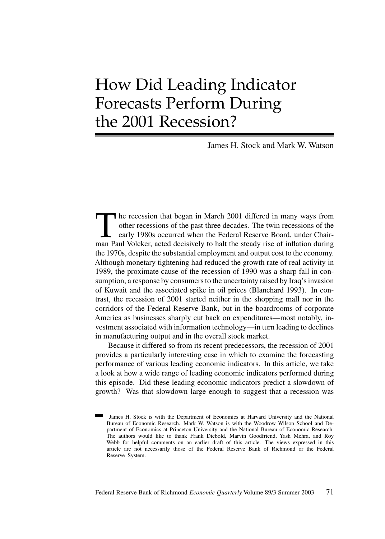# How Did Leading Indicator Forecasts Perform During the 2001 Recession?

James H. Stock and Mark W. Watson

The recession that began in March 2001 differed in many ways from<br>other recessions of the past three decades. The twin recessions of the<br>early 1980s occurred when the Federal Reserve Board, under Chair-<br>man Paul Volcker, a other recessions of the past three decades. The twin recessions of the early 1980s occurred when the Federal Reserve Board, under Chairman Paul Volcker, acted decisively to halt the steady rise of inflation during the 1970s, despite the substantial employment and output cost to the economy. Although monetary tightening had reduced the growth rate of real activity in 1989, the proximate cause of the recession of 1990 was a sharp fall in consumption, a response by consumers to the uncertainty raised by Iraq's invasion of Kuwait and the associated spike in oil prices (Blanchard 1993). In contrast, the recession of 2001 started neither in the shopping mall nor in the corridors of the Federal Reserve Bank, but in the boardrooms of corporate America as businesses sharply cut back on expenditures—most notably, investment associated with information technology—in turn leading to declines in manufacturing output and in the overall stock market.

Because it differed so from its recent predecessors, the recession of 2001 provides a particularly interesting case in which to examine the forecasting performance of various leading economic indicators. In this article, we take a look at how a wide range of leading economic indicators performed during this episode. Did these leading economic indicators predict a slowdown of growth? Was that slowdown large enough to suggest that a recession was

James H. Stock is with the Department of Economics at Harvard University and the National Bureau of Economic Research. Mark W. Watson is with the Woodrow Wilson School and Department of Economics at Princeton University and the National Bureau of Economic Research. The authors would like to thank Frank Diebold, Marvin Goodfriend, Yash Mehra, and Roy Webb for helpful comments on an earlier draft of this article. The views expressed in this article are not necessarily those of the Federal Reserve Bank of Richmond or the Federal Reserve System.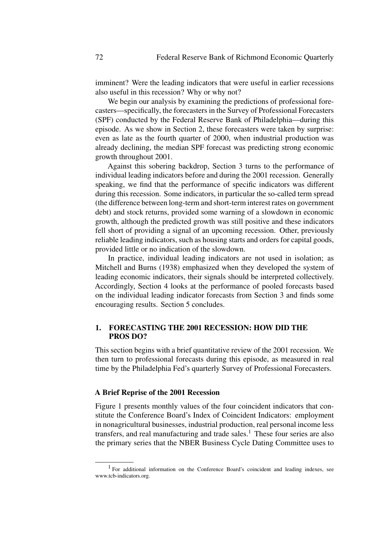imminent? Were the leading indicators that were useful in earlier recessions also useful in this recession? Why or why not?

We begin our analysis by examining the predictions of professional forecasters—specifically, the forecasters in the Survey of Professional Forecasters (SPF) conducted by the Federal Reserve Bank of Philadelphia—during this episode. As we show in Section 2, these forecasters were taken by surprise: even as late as the fourth quarter of 2000, when industrial production was already declining, the median SPF forecast was predicting strong economic growth throughout 2001.

Against this sobering backdrop, Section 3 turns to the performance of individual leading indicators before and during the 2001 recession. Generally speaking, we find that the performance of specific indicators was different during this recession. Some indicators, in particular the so-called term spread (the difference between long-term and short-term interest rates on government debt) and stock returns, provided some warning of a slowdown in economic growth, although the predicted growth was still positive and these indicators fell short of providing a signal of an upcoming recession. Other, previously reliable leading indicators, such as housing starts and orders for capital goods, provided little or no indication of the slowdown.

In practice, individual leading indicators are not used in isolation; as Mitchell and Burns (1938) emphasized when they developed the system of leading economic indicators, their signals should be interpreted collectively. Accordingly, Section 4 looks at the performance of pooled forecasts based on the individual leading indicator forecasts from Section 3 and finds some encouraging results. Section 5 concludes.

## **1. FORECASTING THE 2001 RECESSION: HOW DID THE PROS DO?**

This section begins with a brief quantitative review of the 2001 recession. We then turn to professional forecasts during this episode, as measured in real time by the Philadelphia Fed's quarterly Survey of Professional Forecasters.

## **A Brief Reprise of the 2001 Recession**

Figure 1 presents monthly values of the four coincident indicators that constitute the Conference Board's Index of Coincident Indicators: employment in nonagricultural businesses, industrial production, real personal income less transfers, and real manufacturing and trade sales.<sup>1</sup> These four series are also the primary series that the NBER Business Cycle Dating Committee uses to

<sup>&</sup>lt;sup>1</sup> For additional information on the Conference Board's coincident and leading indexes, see www.tcb-indicators.org.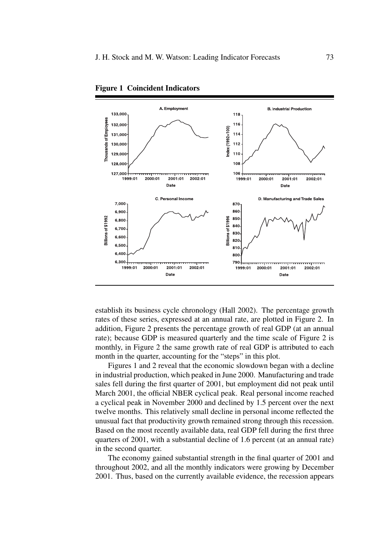

**Figure 1 Coincident Indicators**

establish its business cycle chronology (Hall 2002). The percentage growth rates of these series, expressed at an annual rate, are plotted in Figure 2. In addition, Figure 2 presents the percentage growth of real GDP (at an annual rate); because GDP is measured quarterly and the time scale of Figure 2 is monthly, in Figure 2 the same growth rate of real GDP is attributed to each month in the quarter, accounting for the "steps" in this plot.

Figures 1 and 2 reveal that the economic slowdown began with a decline in industrial production, which peaked in June 2000. Manufacturing and trade sales fell during the first quarter of 2001, but employment did not peak until March 2001, the official NBER cyclical peak. Real personal income reached a cyclical peak in November 2000 and declined by 1.5 percent over the next twelve months. This relatively small decline in personal income reflected the unusual fact that productivity growth remained strong through this recession. Based on the most recently available data, real GDP fell during the first three quarters of 2001, with a substantial decline of 1.6 percent (at an annual rate) in the second quarter.

The economy gained substantial strength in the final quarter of 2001 and throughout 2002, and all the monthly indicators were growing by December 2001. Thus, based on the currently available evidence, the recession appears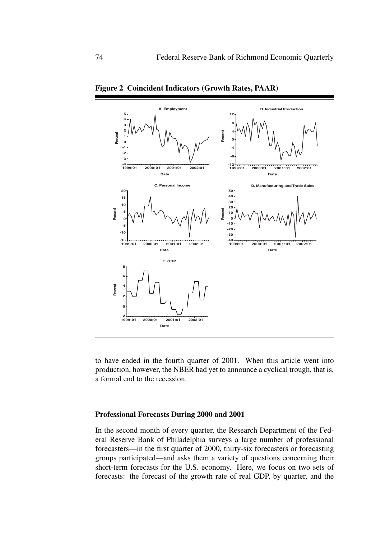

**Figure 2 Coincident Indicators (Growth Rates, PAAR)**

to have ended in the fourth quarter of 2001. When this article went into production, however, the NBER had yet to announce a cyclical trough, that is, a formal end to the recession.

## **Professional Forecasts During 2000 and 2001**

In the second month of every quarter, the Research Department of the Federal Reserve Bank of Philadelphia surveys a large number of professional forecasters—in the first quarter of 2000, thirty-six forecasters or forecasting groups participated—and asks them a variety of questions concerning their short-term forecasts for the U.S. economy. Here, we focus on two sets of forecasts: the forecast of the growth rate of real GDP, by quarter, and the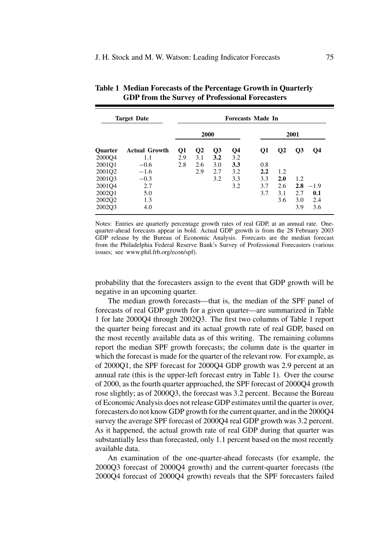| <b>Target Date</b> |                      | <b>Forecasts Made In</b> |          |                |      |     |              |                |           |
|--------------------|----------------------|--------------------------|----------|----------------|------|-----|--------------|----------------|-----------|
|                    |                      | 2000                     |          |                | 2001 |     |              |                |           |
| Quarter            | <b>Actual Growth</b> | Q1                       | $\bf Q2$ | Q <sub>3</sub> | Q4   | Q1  | $\mathbf{Q}$ | Q <sub>3</sub> | <b>O4</b> |
| 2000Q4             | 1.1                  | 2.9                      | 3.1      | 3.2            | 3.2  |     |              |                |           |
| 2001Q1             | $-0.6$               | 2.8                      | 2.6      | 3.0            | 3.3  | 0.8 |              |                |           |
| 2001Q2             | $-1.6$               |                          | 2.9      | 2.7            | 3.2  | 2.2 | 1.2          |                |           |
| 2001Q3             | $-0.3$               |                          |          | 3.2            | 3.3  | 3.3 | 2.0          | 1.2            |           |
| 2001Q4             | 2.7                  |                          |          |                | 3.2  | 3.7 | 2.6          | 2.8            | $-1.9$    |
| 2002O1             | 5.0                  |                          |          |                |      | 3.7 | 3.1          | 2.7            | 0.1       |
| 2002Q2             | 1.3                  |                          |          |                |      |     | 3.6          | 3.0            | 2.4       |
| 2002O3             | 4.0                  |                          |          |                |      |     |              | 3.9            | 3.6       |

**Table 1 Median Forecasts of the Percentage Growth in Quarterly GDP from the Survey of Professional Forecasters**

Notes: Entries are quarterly percentage growth rates of real GDP, at an annual rate. Onequarter-ahead forecasts appear in bold. Actual GDP growth is from the 28 February 2003 GDP release by the Bureau of Economic Analysis. Forecasts are the median forecast from the Philadelphia Federal Reserve Bank's Survey of Professional Forecasters (various issues; see www.phil.frb.org/econ/spf).

probability that the forecasters assign to the event that GDP growth will be negative in an upcoming quarter.

The median growth forecasts—that is, the median of the SPF panel of forecasts of real GDP growth for a given quarter—are summarized in Table 1 for late 2000Q4 through 2002Q3. The first two columns of Table 1 report the quarter being forecast and its actual growth rate of real GDP, based on the most recently available data as of this writing. The remaining columns report the median SPF growth forecasts; the column date is the quarter in which the forecast is made for the quarter of the relevant row. For example, as of 2000Q1, the SPF forecast for 2000Q4 GDP growth was 2.9 percent at an annual rate (this is the upper-left forecast entry in Table 1). Over the course of 2000, as the fourth quarter approached, the SPF forecast of 2000Q4 growth rose slightly; as of 2000Q3, the forecast was 3.2 percent. Because the Bureau of Economic Analysis does not release GDP estimates until the quarter is over, forecasters do not know GDP growth for the current quarter, and in the 2000Q4 survey the average SPF forecast of 2000Q4 real GDP growth was 3.2 percent. As it happened, the actual growth rate of real GDP during that quarter was substantially less than forecasted, only 1.1 percent based on the most recently available data.

An examination of the one-quarter-ahead forecasts (for example, the 2000Q3 forecast of 2000Q4 growth) and the current-quarter forecasts (the 2000Q4 forecast of 2000Q4 growth) reveals that the SPF forecasters failed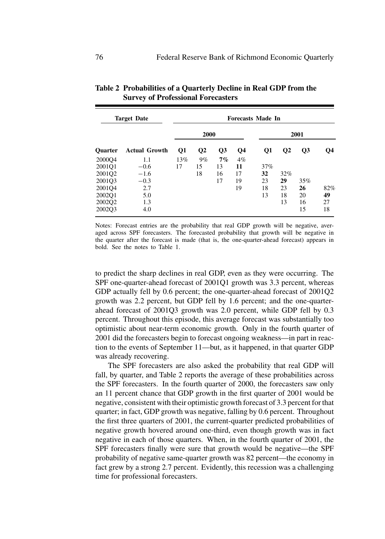| <b>Target Date</b> |                      | <b>Forecasts Made In</b> |                |    |       |     |                 |                 |     |
|--------------------|----------------------|--------------------------|----------------|----|-------|-----|-----------------|-----------------|-----|
|                    |                      | 2000                     |                |    | 2001  |     |                 |                 |     |
| Quarter            | <b>Actual Growth</b> | Q1                       | Q <sub>2</sub> | Q3 | Q4    | Q1  | $\overline{O2}$ | $\overline{O3}$ | О4  |
| 2000Q4             | 1.1                  | 13%                      | 9%             | 7% | $4\%$ |     |                 |                 |     |
| 2001Q1             | $-0.6$               | 17                       | 15             | 13 | 11    | 37% |                 |                 |     |
| 2001Q2             | $-1.6$               |                          | 18             | 16 | 17    | 32  | 32%             |                 |     |
| 200103             | $-0.3$               |                          |                | 17 | 19    | 23  | 29              | 35%             |     |
| 2001Q4             | 2.7                  |                          |                |    | 19    | 18  | 23              | 26              | 82% |
| 2002Q1             | 5.0                  |                          |                |    |       | 13  | 18              | 20              | 49  |
| 2002Q2             | 1.3                  |                          |                |    |       |     | 13              | 16              | 27  |
| 2002O3             | 4.0                  |                          |                |    |       |     |                 | 15              | 18  |
|                    |                      |                          |                |    |       |     |                 |                 |     |

**Table 2 Probabilities of a Quarterly Decline in Real GDP from the Survey of Professional Forecasters**

Notes: Forecast entries are the probability that real GDP growth will be negative, averaged across SPF forecasters. The forecasted probability that growth will be negative in the quarter after the forecast is made (that is, the one-quarter-ahead forecast) appears in bold. See the notes to Table 1.

to predict the sharp declines in real GDP, even as they were occurring. The SPF one-quarter-ahead forecast of 2001Q1 growth was 3.3 percent, whereas GDP actually fell by 0.6 percent; the one-quarter-ahead forecast of 2001Q2 growth was 2.2 percent, but GDP fell by 1.6 percent; and the one-quarterahead forecast of 2001Q3 growth was 2.0 percent, while GDP fell by 0.3 percent. Throughout this episode, this average forecast was substantially too optimistic about near-term economic growth. Only in the fourth quarter of 2001 did the forecasters begin to forecast ongoing weakness—in part in reaction to the events of September 11—but, as it happened, in that quarter GDP was already recovering.

The SPF forecasters are also asked the probability that real GDP will fall, by quarter, and Table 2 reports the average of these probabilities across the SPF forecasters. In the fourth quarter of 2000, the forecasters saw only an 11 percent chance that GDP growth in the first quarter of 2001 would be negative, consistent with their optimistic growth forecast of 3.3 percent for that quarter; in fact, GDP growth was negative, falling by 0.6 percent. Throughout the first three quarters of 2001, the current-quarter predicted probabilities of negative growth hovered around one-third, even though growth was in fact negative in each of those quarters. When, in the fourth quarter of 2001, the SPF forecasters finally were sure that growth would be negative—the SPF probability of negative same-quarter growth was 82 percent—the economy in fact grew by a strong 2.7 percent. Evidently, this recession was a challenging time for professional forecasters.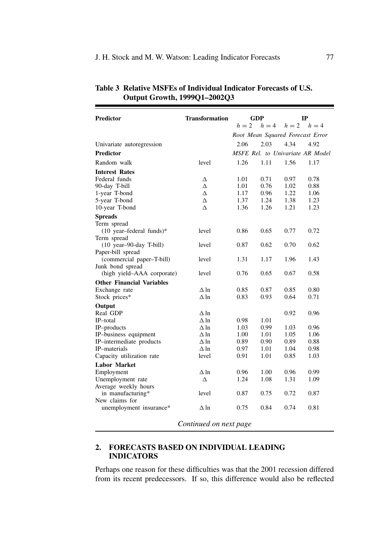| Predictor                                            | <b>Transformation</b> | GDP                              |       | IР              |                                  |
|------------------------------------------------------|-----------------------|----------------------------------|-------|-----------------|----------------------------------|
|                                                      |                       | $h=2$                            | $h=4$ | $h = 2$ $h = 4$ |                                  |
|                                                      |                       | Root Mean Squared Forecast Error |       |                 |                                  |
| Univariate autoregression                            |                       | 2.06                             | 2.03  | 4.34            | 4.92                             |
| <b>Predictor</b>                                     |                       |                                  |       |                 | MSFE Rel. to Univariate AR Model |
| Random walk                                          | level                 | 1.26                             | 1.11  | 1.56            | 1.17                             |
| <b>Interest Rates</b>                                |                       |                                  |       |                 |                                  |
| Federal funds                                        | Δ                     | 1.01                             | 0.71  | 0.97            | 0.78                             |
| 90-day T-bill                                        | Δ                     | 1.01                             | 0.76  | 1.02            | 0.88                             |
| 1-year T-bond                                        | Δ                     | 1.17                             | 0.96  | 1.22            | 1.06                             |
| 5-year T-bond                                        | Δ                     | 1.37                             | 1.24  | 1.38            | 1.23                             |
| 10-year T-bond                                       | Δ                     | 1.36                             | 1.26  | 1.21            | 1.23                             |
| <b>Spreads</b>                                       |                       |                                  |       |                 |                                  |
| Term spread                                          |                       |                                  |       |                 |                                  |
| $(10 \text{ year–federal funds})*$                   | level                 | 0.86                             | 0.65  | 0.77            | 0.72                             |
| Term spread                                          |                       |                                  |       |                 |                                  |
| $(10 \text{ year} - 90 - \text{day} \text{ T-bill})$ | level                 | 0.87                             | 0.62  | 0.70            | 0.62                             |
| Paper-bill spread                                    |                       |                                  |       |                 |                                  |
| (commercial paper-T-bill)                            | level                 | 1.31                             | 1.17  | 1.96            | 1.43                             |
| Junk bond spread                                     |                       |                                  |       |                 |                                  |
| (high yield-AAA corporate)                           | level                 | 0.76                             | 0.65  | 0.67            | 0.58                             |
| <b>Other Financial Variables</b>                     |                       |                                  |       |                 |                                  |
| Exchange rate                                        | $\Delta$ ln           | 0.85                             | 0.87  | 0.85            | 0.80                             |
| Stock prices*                                        | $\Delta$ ln           | 0.83                             | 0.93  | 0.64            | 0.71                             |
| Output                                               |                       |                                  |       |                 |                                  |
| Real GDP                                             | $\Delta$ ln           |                                  |       | 0.92            | 0.96                             |
| IP-total                                             | $\Delta$ ln           | 0.98                             | 1.01  |                 |                                  |
| IP-products                                          | $\Delta$ ln           | 1.03                             | 0.99  | 1.03            | 0.96                             |
| IP-business equipment                                | $\Delta$ ln           | 1.00                             | 1.01  | 1.05            | 1.06                             |
| IP-intermediate products                             | $\Delta$ ln           | 0.89                             | 0.90  | 0.89            | 0.88                             |
| IP-materials                                         | $\Delta$ ln           | 0.97                             | 1.01  | 1.04            | 0.98                             |
| Capacity utilization rate                            | level                 | 0.91                             | 1.01  | 0.85            | 1.03                             |
| <b>Labor Market</b>                                  |                       |                                  |       |                 |                                  |
| Employment                                           | $\Delta$ ln           | 0.96                             | 1.00  | 0.96            | 0.99                             |
| Unemployment rate                                    | Δ                     | 1.24                             | 1.08  | 1.31            | 1.09                             |
| Average weekly hours                                 |                       |                                  |       |                 |                                  |
| in manufacturing*                                    | level                 | 0.87                             | 0.75  | 0.72            | 0.87                             |
| New claims for                                       |                       |                                  |       |                 |                                  |
| unemployment insurance*                              | $\Delta$ ln           | 0.75                             | 0.84  | 0.74            | 0.81                             |
|                                                      |                       |                                  |       |                 |                                  |

# **Table 3 Relative MSFEs of Individual Indicator Forecasts of U.S. Output Growth, 1999Q1–2002Q3**

*Continued on next page*

# **2. FORECASTS BASED ON INDIVIDUAL LEADING INDICATORS**

Perhaps one reason for these difficulties was that the 2001 recession differed from its recent predecessors. If so, this difference would also be reflected

.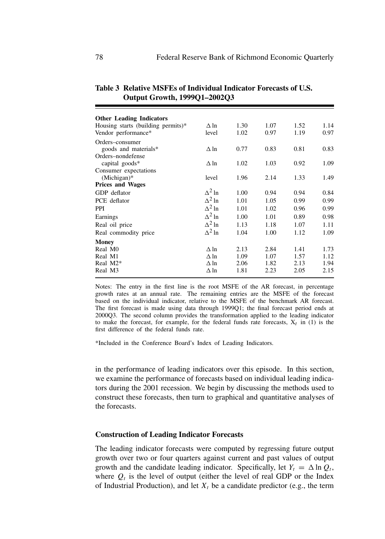| <b>Other Leading Indicators</b>    |               |      |      |      |      |
|------------------------------------|---------------|------|------|------|------|
| Housing starts (building permits)* | $\Delta$ ln   | 1.30 | 1.07 | 1.52 | 1.14 |
| Vendor performance*                | level         | 1.02 | 0.97 | 1.19 | 0.97 |
| Orders-consumer                    |               |      |      |      |      |
| goods and materials*               | $\Delta$ ln   | 0.77 | 0.83 | 0.81 | 0.83 |
| Orders-nondefense                  |               |      |      |      |      |
| capital goods*                     | $\Delta$ ln   | 1.02 | 1.03 | 0.92 | 1.09 |
| Consumer expectations              |               |      |      |      |      |
| (Michigan)*                        | level         | 1.96 | 2.14 | 1.33 | 1.49 |
| <b>Prices and Wages</b>            |               |      |      |      |      |
| GDP deflator                       | $\Delta^2$ ln | 1.00 | 0.94 | 0.94 | 0.84 |
| PCE deflator                       | $\Delta^2$ ln | 1.01 | 1.05 | 0.99 | 0.99 |
| <b>PPI</b>                         | $\Delta^2$ ln | 1.01 | 1.02 | 0.96 | 0.99 |
| Earnings                           | $\Delta^2$ ln | 1.00 | 1.01 | 0.89 | 0.98 |
| Real oil price                     | $\Delta^2$ ln | 1.13 | 1.18 | 1.07 | 1.11 |
| Real commodity price               | $\Delta^2$ ln | 1.04 | 1.00 | 1.12 | 1.09 |
| <b>Money</b>                       |               |      |      |      |      |
| Real M <sub>0</sub>                | $\Delta$ ln   | 2.13 | 2.84 | 1.41 | 1.73 |
| Real M1                            | $\Delta$ ln   | 1.09 | 1.07 | 1.57 | 1.12 |
| Real M <sub>2</sub> *              | $\Delta$ ln   | 2.06 | 1.82 | 2.13 | 1.94 |
| Real M3                            | $\Delta$ ln   | 1.81 | 2.23 | 2.05 | 2.15 |
|                                    |               |      |      |      |      |

**Table 3 Relative MSFEs of Individual Indicator Forecasts of U.S. Output Growth, 1999Q1–2002Q3**

Notes: The entry in the first line is the root MSFE of the AR forecast, in percentage growth rates at an annual rate. The remaining entries are the MSFE of the forecast based on the individual indicator, relative to the MSFE of the benchmark AR forecast. The first forecast is made using data through 1999Q1; the final forecast period ends at 2000Q3. The second column provides the transformation applied to the leading indicator to make the forecast, for example, for the federal funds rate forecasts,  $X_t$  in (1) is the first difference of the federal funds rate.

\*Included in the Conference Board's Index of Leading Indicators.

in the performance of leading indicators over this episode. In this section, we examine the performance of forecasts based on individual leading indicators during the 2001 recession. We begin by discussing the methods used to construct these forecasts, then turn to graphical and quantitative analyses of the forecasts.

#### **Construction of Leading Indicator Forecasts**

The leading indicator forecasts were computed by regressing future output growth over two or four quarters against current and past values of output growth and the candidate leading indicator. Specifically, let  $Y_t = \Delta \ln Q_t$ , where  $Q_t$  is the level of output (either the level of real GDP or the Index of Industrial Production), and let  $X_t$  be a candidate predictor (e.g., the term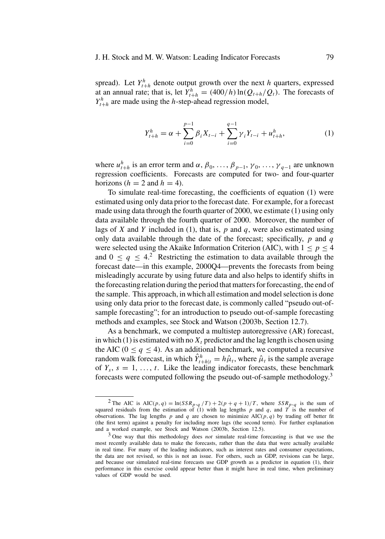#### J. H. Stock and M. W. Watson: Leading Indicator Forecasts 79

spread). Let  $Y_{t+h}^h$  denote output growth over the next h quarters, expressed at an annual rate; that is, let  $Y_{t+h}^h = (400/h) \ln(Q_{t+h}/Q_t)$ . The forecasts of  $Y_{t+h}^h$  are made using the h-step-ahead regression model,

$$
Y_{t+h}^h = \alpha + \sum_{i=0}^{p-1} \beta_i X_{t-i} + \sum_{i=0}^{q-1} \gamma_i Y_{t-i} + u_{t+h}^h,
$$
 (1)

where  $u_{t+h}^h$  is an error term and  $\alpha$ ,  $\beta_0$ , ...,  $\beta_{p-1}$ ,  $\gamma_0$ , ...,  $\gamma_{q-1}$  are unknown regression coefficients. Forecasts are computed for two- and four-quarter horizons ( $h = 2$  and  $h = 4$ ).

To simulate real-time forecasting, the coefficients of equation (1) were estimated using only data prior to the forecast date. For example, for a forecast made using data through the fourth quarter of 2000, we estimate (1) using only data available through the fourth quarter of 2000. Moreover, the number of lags of X and Y included in (1), that is,  $p$  and  $q$ , were also estimated using only data available through the date of the forecast; specifically,  $p$  and  $q$ were selected using the Akaike Information Criterion (AIC), with  $1 \le p \le 4$ and  $0 \le q \le 4$ <sup>2</sup> Restricting the estimation to data available through the forecast date—in this example, 2000Q4—prevents the forecasts from being misleadingly accurate by using future data and also helps to identify shifts in the forecasting relation during the period that matters for forecasting, the end of the sample. This approach, in which all estimation and model selection is done using only data prior to the forecast date, is commonly called "pseudo out-ofsample forecasting"; for an introduction to pseudo out-of-sample forecasting methods and examples, see Stock and Watson (2003b, Section 12.7).

As a benchmark, we computed a multistep autoregressive (AR) forecast, in which (1) is estimated with no  $X_t$  predictor and the lag length is chosen using the AIC ( $0 \le q \le 4$ ). As an additional benchmark, we computed a recursive random walk forecast, in which  $\hat{Y}_{t+h|t}^h = h\hat{\mu}_t$ , where  $\hat{\mu}_t$  is the sample average of  $Y_s$ ,  $s = 1, \ldots, t$ . Like the leading indicator forecasts, these benchmark forecasts were computed following the pseudo out-of-sample methodology.3

<sup>&</sup>lt;sup>2</sup> The AIC is AIC(*p*, *q*) = ln(*SSR<sub>p</sub>*,*q* /T) + 2(*p* + *q* + 1)/*T*, where *SSR<sub>p</sub>*,*q* is the sum of squared residuals from the estimation of (1) with lag lengths *p* and *q*, and *T* is the number of observations. The lag lengths p and q are chosen to minimize  $AIC(p, q)$  by trading off better fit (the first term) against a penalty for including more lags (the second term). For further explanation and a worked example, see Stock and Watson (2003b, Section 12.5).

<sup>3</sup> One way that this methodology does *not* simulate real-time forecasting is that we use the most recently available data to make the forecasts, rather than the data that were actually available in real time. For many of the leading indicators, such as interest rates and consumer expectations, the data are not revised, so this is not an issue. For others, such as GDP, revisions can be large, and because our simulated real-time forecasts use GDP growth as a predictor in equation (1), their performance in this exercise could appear better than it might have in real time, when preliminary values of GDP would be used.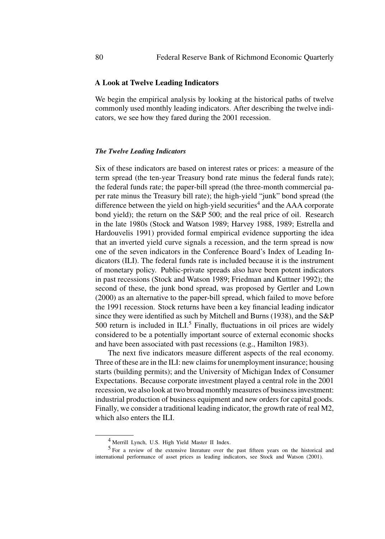## **A Look at Twelve Leading Indicators**

We begin the empirical analysis by looking at the historical paths of twelve commonly used monthly leading indicators. After describing the twelve indicators, we see how they fared during the 2001 recession.

#### *The Twelve Leading Indicators*

Six of these indicators are based on interest rates or prices: a measure of the term spread (the ten-year Treasury bond rate minus the federal funds rate); the federal funds rate; the paper-bill spread (the three-month commercial paper rate minus the Treasury bill rate); the high-yield "junk" bond spread (the difference between the yield on high-yield securities<sup>4</sup> and the  $AAA$  corporate bond yield); the return on the S&P 500; and the real price of oil. Research in the late 1980s (Stock and Watson 1989; Harvey 1988, 1989; Estrella and Hardouvelis 1991) provided formal empirical evidence supporting the idea that an inverted yield curve signals a recession, and the term spread is now one of the seven indicators in the Conference Board's Index of Leading Indicators (ILI). The federal funds rate is included because it is the instrument of monetary policy. Public-private spreads also have been potent indicators in past recessions (Stock and Watson 1989; Friedman and Kuttner 1992); the second of these, the junk bond spread, was proposed by Gertler and Lown (2000) as an alternative to the paper-bill spread, which failed to move before the 1991 recession. Stock returns have been a key financial leading indicator since they were identified as such by Mitchell and Burns (1938), and the S&P 500 return is included in  $ILI<sup>5</sup>$  Finally, fluctuations in oil prices are widely considered to be a potentially important source of external economic shocks and have been associated with past recessions (e.g., Hamilton 1983).

The next five indicators measure different aspects of the real economy. Three of these are in the ILI: new claims for unemployment insurance; housing starts (building permits); and the University of Michigan Index of Consumer Expectations. Because corporate investment played a central role in the 2001 recession, we also look at two broad monthly measures of business investment: industrial production of business equipment and new orders for capital goods. Finally, we consider a traditional leading indicator, the growth rate of real M2, which also enters the ILI.

<sup>4</sup> Merrill Lynch, U.S. High Yield Master II Index.

<sup>5</sup> For a review of the extensive literature over the past fifteen years on the historical and international performance of asset prices as leading indicators, see Stock and Watson (2001).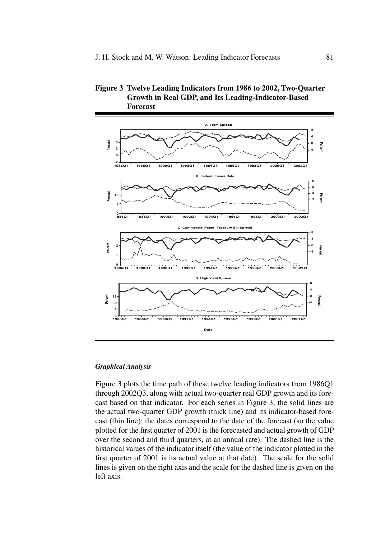

## **Figure 3 Twelve Leading Indicators from 1986 to 2002, Two-Quarter Growth in Real GDP, and Its Leading-Indicator-Based Forecast**

#### *Graphical Analysis*

Figure 3 plots the time path of these twelve leading indicators from 1986Q1 through 2002Q3, along with actual two-quarter real GDP growth and its forecast based on that indicator. For each series in Figure 3, the solid lines are the actual two-quarter GDP growth (thick line) and its indicator-based forecast (thin line); the dates correspond to the date of the forecast (so the value plotted for the first quarter of 2001 is the forecasted and actual growth of GDP over the second and third quarters, at an annual rate). The dashed line is the historical values of the indicator itself (the value of the indicator plotted in the first quarter of 2001 is its actual value at that date). The scale for the solid lines is given on the right axis and the scale for the dashed line is given on the left axis.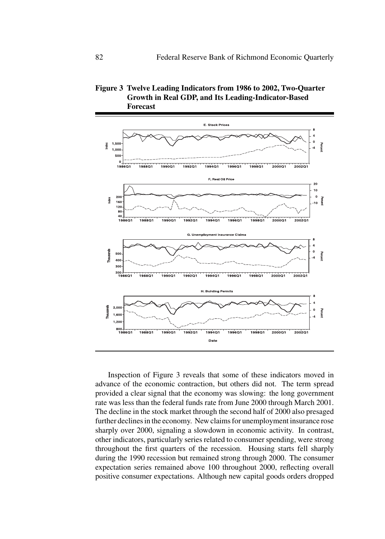



Inspection of Figure 3 reveals that some of these indicators moved in advance of the economic contraction, but others did not. The term spread provided a clear signal that the economy was slowing: the long government rate was less than the federal funds rate from June 2000 through March 2001. The decline in the stock market through the second half of 2000 also presaged further declines in the economy. New claims for unemployment insurance rose sharply over 2000, signaling a slowdown in economic activity. In contrast, other indicators, particularly series related to consumer spending, were strong throughout the first quarters of the recession. Housing starts fell sharply during the 1990 recession but remained strong through 2000. The consumer expectation series remained above 100 throughout 2000, reflecting overall positive consumer expectations. Although new capital goods orders dropped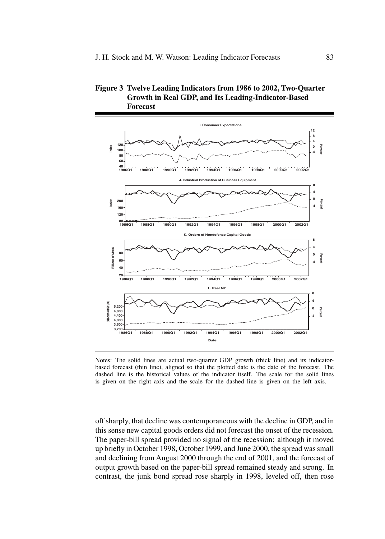



Notes: The solid lines are actual two-quarter GDP growth (thick line) and its indicatorbased forecast (thin line), aligned so that the plotted date is the date of the forecast. The dashed line is the historical values of the indicator itself. The scale for the solid lines is given on the right axis and the scale for the dashed line is given on the left axis.

off sharply, that decline was contemporaneous with the decline in GDP, and in this sense new capital goods orders did not forecast the onset of the recession. The paper-bill spread provided no signal of the recession: although it moved up briefly in October 1998, October 1999, and June 2000, the spread was small and declining from August 2000 through the end of 2001, and the forecast of output growth based on the paper-bill spread remained steady and strong. In contrast, the junk bond spread rose sharply in 1998, leveled off, then rose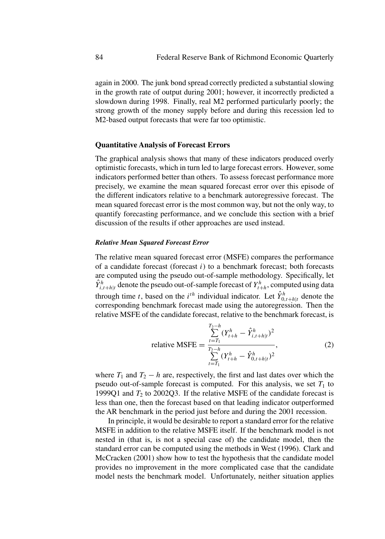again in 2000. The junk bond spread correctly predicted a substantial slowing in the growth rate of output during 2001; however, it incorrectly predicted a slowdown during 1998. Finally, real M2 performed particularly poorly; the strong growth of the money supply before and during this recession led to M2-based output forecasts that were far too optimistic.

#### **Quantitative Analysis of Forecast Errors**

The graphical analysis shows that many of these indicators produced overly optimistic forecasts, which in turn led to large forecast errors. However, some indicators performed better than others. To assess forecast performance more precisely, we examine the mean squared forecast error over this episode of the different indicators relative to a benchmark autoregressive forecast. The mean squared forecast error is the most common way, but not the only way, to quantify forecasting performance, and we conclude this section with a brief discussion of the results if other approaches are used instead.

#### *Relative Mean Squared Forecast Error*

The relative mean squared forecast error (MSFE) compares the performance of a candidate forecast (forecast  $i$ ) to a benchmark forecast; both forecasts are computed using the pseudo out-of-sample methodology. Specifically, let  $\hat{Y}_{i,t+h|t}^h$  denote the pseudo out-of-sample forecast of  $Y_{t+h}^h$ , computed using data through time t, based on the  $i^{th}$  individual indicator. Let  $\hat{Y}_{0,t+h|t}^h$  denote the corresponding benchmark forecast made using the autoregression. Then the relative MSFE of the candidate forecast, relative to the benchmark forecast, is

relative MSE = 
$$
\frac{\sum_{t=T_1}^{T_2-h} (Y_{t+h}^h - \hat{Y}_{i,t+h|t}^h)^2}{\sum_{t=T_1}^{T_2-h} (Y_{t+h}^h - \hat{Y}_{0,t+h|t}^h)^2},
$$
 (2)

where  $T_1$  and  $T_2 - h$  are, respectively, the first and last dates over which the pseudo out-of-sample forecast is computed. For this analysis, we set  $T_1$  to 1999Q1 and  $T_2$  to 2002Q3. If the relative MSFE of the candidate forecast is less than one, then the forecast based on that leading indicator outperformed the AR benchmark in the period just before and during the 2001 recession.

In principle, it would be desirable to report a standard error for the relative MSFE in addition to the relative MSFE itself. If the benchmark model is not nested in (that is, is not a special case of) the candidate model, then the standard error can be computed using the methods in West (1996). Clark and McCracken (2001) show how to test the hypothesis that the candidate model provides no improvement in the more complicated case that the candidate model nests the benchmark model. Unfortunately, neither situation applies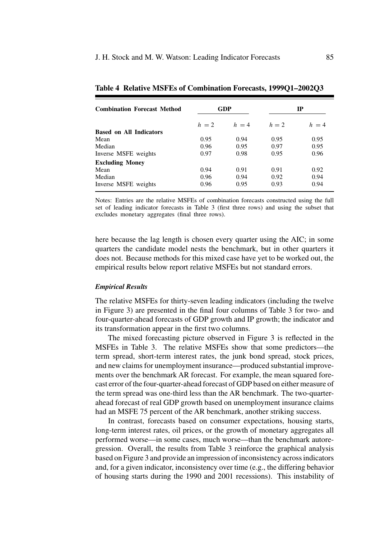| <b>Combination Forecast Method</b> |         | <b>GDP</b> | IP    |         |  |
|------------------------------------|---------|------------|-------|---------|--|
|                                    | $h = 2$ | $h = 4$    | $h=2$ | $h = 4$ |  |
| <b>Based on All Indicators</b>     |         |            |       |         |  |
| Mean                               | 0.95    | 0.94       | 0.95  | 0.95    |  |
| Median                             | 0.96    | 0.95       | 0.97  | 0.95    |  |
| Inverse MSFE weights               | 0.97    | 0.98       | 0.95  | 0.96    |  |
| <b>Excluding Money</b>             |         |            |       |         |  |
| Mean                               | 0.94    | 0.91       | 0.91  | 0.92    |  |
| Median                             | 0.96    | 0.94       | 0.92  | 0.94    |  |
| Inverse MSFE weights               | 0.96    | 0.95       | 0.93  | 0.94    |  |

**Table 4 Relative MSFEs of Combination Forecasts, 1999Q1–2002Q3**

Notes: Entries are the relative MSFEs of combination forecasts constructed using the full set of leading indicator forecasts in Table 3 (first three rows) and using the subset that excludes monetary aggregates (final three rows).

here because the lag length is chosen every quarter using the AIC; in some quarters the candidate model nests the benchmark, but in other quarters it does not. Because methods for this mixed case have yet to be worked out, the empirical results below report relative MSFEs but not standard errors.

#### *Empirical Results*

The relative MSFEs for thirty-seven leading indicators (including the twelve in Figure 3) are presented in the final four columns of Table 3 for two- and four-quarter-ahead forecasts of GDP growth and IP growth; the indicator and its transformation appear in the first two columns.

The mixed forecasting picture observed in Figure 3 is reflected in the MSFEs in Table 3. The relative MSFEs show that some predictors—the term spread, short-term interest rates, the junk bond spread, stock prices, and new claims for unemployment insurance—produced substantial improvements over the benchmark AR forecast. For example, the mean squared forecast error of the four-quarter-ahead forecast of GDP based on either measure of the term spread was one-third less than the AR benchmark. The two-quarterahead forecast of real GDP growth based on unemployment insurance claims had an MSFE 75 percent of the AR benchmark, another striking success.

In contrast, forecasts based on consumer expectations, housing starts, long-term interest rates, oil prices, or the growth of monetary aggregates all performed worse—in some cases, much worse—than the benchmark autoregression. Overall, the results from Table 3 reinforce the graphical analysis based on Figure 3 and provide an impression of inconsistency across indicators and, for a given indicator, inconsistency over time (e.g., the differing behavior of housing starts during the 1990 and 2001 recessions). This instability of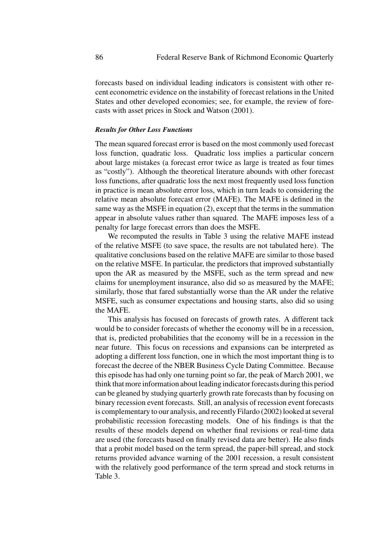forecasts based on individual leading indicators is consistent with other recent econometric evidence on the instability of forecast relations in the United States and other developed economies; see, for example, the review of forecasts with asset prices in Stock and Watson (2001).

## *Results for Other Loss Functions*

The mean squared forecast error is based on the most commonly used forecast loss function, quadratic loss. Quadratic loss implies a particular concern about large mistakes (a forecast error twice as large is treated as four times as "costly"). Although the theoretical literature abounds with other forecast loss functions, after quadratic loss the next most frequently used loss function in practice is mean absolute error loss, which in turn leads to considering the relative mean absolute forecast error (MAFE). The MAFE is defined in the same way as the MSFE in equation (2), except that the terms in the summation appear in absolute values rather than squared. The MAFE imposes less of a penalty for large forecast errors than does the MSFE.

We recomputed the results in Table 3 using the relative MAFE instead of the relative MSFE (to save space, the results are not tabulated here). The qualitative conclusions based on the relative MAFE are similar to those based on the relative MSFE. In particular, the predictors that improved substantially upon the AR as measured by the MSFE, such as the term spread and new claims for unemployment insurance, also did so as measured by the MAFE; similarly, those that fared substantially worse than the AR under the relative MSFE, such as consumer expectations and housing starts, also did so using the MAFE.

This analysis has focused on forecasts of growth rates. A different tack would be to consider forecasts of whether the economy will be in a recession, that is, predicted probabilities that the economy will be in a recession in the near future. This focus on recessions and expansions can be interpreted as adopting a different loss function, one in which the most important thing is to forecast the decree of the NBER Business Cycle Dating Committee. Because this episode has had only one turning point so far, the peak of March 2001, we think that more information about leading indicator forecasts during this period can be gleaned by studying quarterly growth rate forecasts than by focusing on binary recession event forecasts. Still, an analysis of recession event forecasts is complementary to our analysis, and recently Filardo (2002) looked at several probabilistic recession forecasting models. One of his findings is that the results of these models depend on whether final revisions or real-time data are used (the forecasts based on finally revised data are better). He also finds that a probit model based on the term spread, the paper-bill spread, and stock returns provided advance warning of the 2001 recession, a result consistent with the relatively good performance of the term spread and stock returns in Table 3.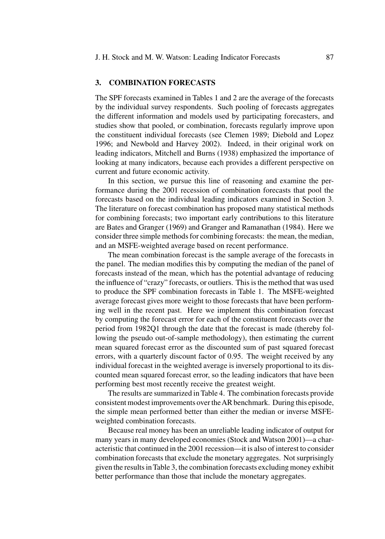## **3. COMBINATION FORECASTS**

The SPF forecasts examined in Tables 1 and 2 are the average of the forecasts by the individual survey respondents. Such pooling of forecasts aggregates the different information and models used by participating forecasters, and studies show that pooled, or combination, forecasts regularly improve upon the constituent individual forecasts (see Clemen 1989; Diebold and Lopez 1996; and Newbold and Harvey 2002). Indeed, in their original work on leading indicators, Mitchell and Burns (1938) emphasized the importance of looking at many indicators, because each provides a different perspective on current and future economic activity.

In this section, we pursue this line of reasoning and examine the performance during the 2001 recession of combination forecasts that pool the forecasts based on the individual leading indicators examined in Section 3. The literature on forecast combination has proposed many statistical methods for combining forecasts; two important early contributions to this literature are Bates and Granger (1969) and Granger and Ramanathan (1984). Here we consider three simple methods for combining forecasts: the mean, the median, and an MSFE-weighted average based on recent performance.

The mean combination forecast is the sample average of the forecasts in the panel. The median modifies this by computing the median of the panel of forecasts instead of the mean, which has the potential advantage of reducing the influence of "crazy" forecasts, or outliers. This is the method that was used to produce the SPF combination forecasts in Table 1. The MSFE-weighted average forecast gives more weight to those forecasts that have been performing well in the recent past. Here we implement this combination forecast by computing the forecast error for each of the constituent forecasts over the period from 1982Q1 through the date that the forecast is made (thereby following the pseudo out-of-sample methodology), then estimating the current mean squared forecast error as the discounted sum of past squared forecast errors, with a quarterly discount factor of 0.95. The weight received by any individual forecast in the weighted average is inversely proportional to its discounted mean squared forecast error, so the leading indicators that have been performing best most recently receive the greatest weight.

The results are summarized in Table 4. The combination forecasts provide consistent modest improvements over theAR benchmark. During this episode, the simple mean performed better than either the median or inverse MSFEweighted combination forecasts.

Because real money has been an unreliable leading indicator of output for many years in many developed economies (Stock and Watson 2001)—a characteristic that continued in the 2001 recession—it is also of interest to consider combination forecasts that exclude the monetary aggregates. Not surprisingly given the results in Table 3, the combination forecasts excluding money exhibit better performance than those that include the monetary aggregates.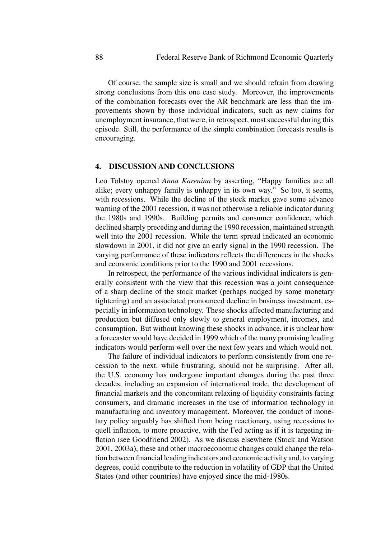Of course, the sample size is small and we should refrain from drawing strong conclusions from this one case study. Moreover, the improvements of the combination forecasts over the AR benchmark are less than the improvements shown by those individual indicators, such as new claims for unemployment insurance, that were, in retrospect, most successful during this episode. Still, the performance of the simple combination forecasts results is encouraging.

## **4. DISCUSSION AND CONCLUSIONS**

Leo Tolstoy opened *Anna Karenina* by asserting, "Happy families are all alike; every unhappy family is unhappy in its own way." So too, it seems, with recessions. While the decline of the stock market gave some advance warning of the 2001 recession, it was not otherwise a reliable indicator during the 1980s and 1990s. Building permits and consumer confidence, which declined sharply preceding and during the 1990 recession, maintained strength well into the 2001 recession. While the term spread indicated an economic slowdown in 2001, it did not give an early signal in the 1990 recession. The varying performance of these indicators reflects the differences in the shocks and economic conditions prior to the 1990 and 2001 recessions.

In retrospect, the performance of the various individual indicators is generally consistent with the view that this recession was a joint consequence of a sharp decline of the stock market (perhaps nudged by some monetary tightening) and an associated pronounced decline in business investment, especially in information technology. These shocks affected manufacturing and production but diffused only slowly to general employment, incomes, and consumption. But without knowing these shocks in advance, it is unclear how a forecaster would have decided in 1999 which of the many promising leading indicators would perform well over the next few years and which would not.

The failure of individual indicators to perform consistently from one recession to the next, while frustrating, should not be surprising. After all, the U.S. economy has undergone important changes during the past three decades, including an expansion of international trade, the development of financial markets and the concomitant relaxing of liquidity constraints facing consumers, and dramatic increases in the use of information technology in manufacturing and inventory management. Moreover, the conduct of monetary policy arguably has shifted from being reactionary, using recessions to quell inflation, to more proactive, with the Fed acting as if it is targeting inflation (see Goodfriend 2002). As we discuss elsewhere (Stock and Watson 2001, 2003a), these and other macroeconomic changes could change the relation between financial leading indicators and economic activity and, to varying degrees, could contribute to the reduction in volatility of GDP that the United States (and other countries) have enjoyed since the mid-1980s.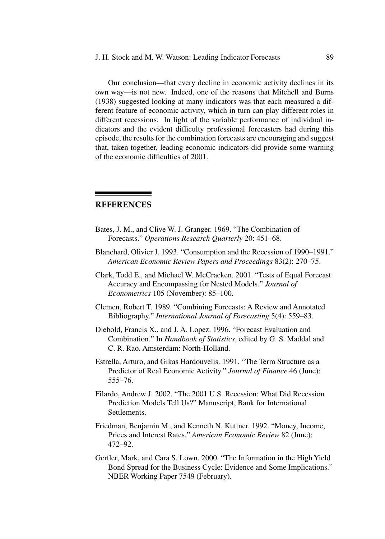Our conclusion—that every decline in economic activity declines in its own way—is not new. Indeed, one of the reasons that Mitchell and Burns (1938) suggested looking at many indicators was that each measured a different feature of economic activity, which in turn can play different roles in different recessions. In light of the variable performance of individual indicators and the evident difficulty professional forecasters had during this episode, the results for the combination forecasts are encouraging and suggest that, taken together, leading economic indicators did provide some warning of the economic difficulties of 2001.

# **REFERENCES**

- Bates, J. M., and Clive W. J. Granger. 1969. "The Combination of Forecasts." *Operations Research Quarterly* 20: 451–68.
- Blanchard, Olivier J. 1993. "Consumption and the Recession of 1990–1991." *American Economic Review Papers and Proceedings* 83(2): 270–75.
- Clark, Todd E., and Michael W. McCracken. 2001. "Tests of Equal Forecast Accuracy and Encompassing for Nested Models." *Journal of Econometrics* 105 (November): 85–100.
- Clemen, Robert T. 1989. "Combining Forecasts: A Review and Annotated Bibliography." *International Journal of Forecasting* 5(4): 559–83.
- Diebold, Francis X., and J. A. Lopez. 1996. "Forecast Evaluation and Combination." In *Handbook of Statistics*, edited by G. S. Maddal and C. R. Rao. Amsterdam: North-Holland.
- Estrella, Arturo, and Gikas Hardouvelis. 1991. "The Term Structure as a Predictor of Real Economic Activity." *Journal of Finance* 46 (June): 555–76.
- Filardo, Andrew J. 2002. "The 2001 U.S. Recession: What Did Recession Prediction Models Tell Us?" Manuscript, Bank for International Settlements.
- Friedman, Benjamin M., and Kenneth N. Kuttner. 1992. "Money, Income, Prices and Interest Rates." *American Economic Review* 82 (June): 472–92.
- Gertler, Mark, and Cara S. Lown. 2000. "The Information in the High Yield Bond Spread for the Business Cycle: Evidence and Some Implications." NBER Working Paper 7549 (February).